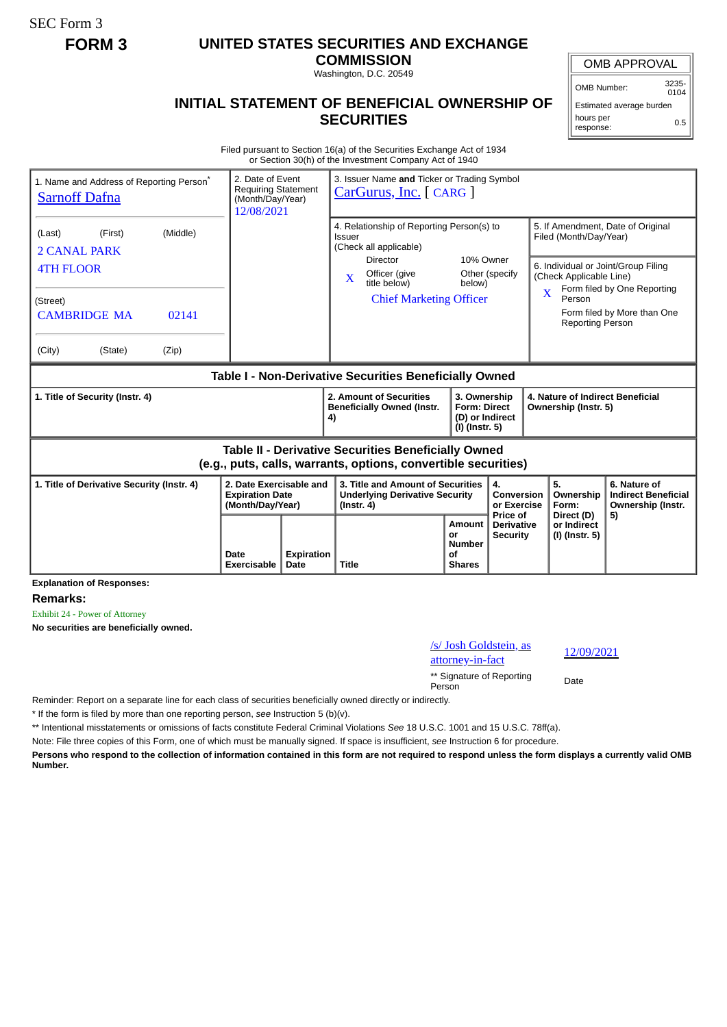SEC Form 3

## **FORM 3 UNITED STATES SECURITIES AND EXCHANGE**

**COMMISSION** Washington, D.C. 20549

## **INITIAL STATEMENT OF BENEFICIAL OWNERSHIP OF SECURITIES**

OMB APPROVAL

OMB Number: 3235-  $0104$ 

Estimated average burden hours per response: 0.5

Filed pursuant to Section 16(a) of the Securities Exchange Act of 1934 or Section 30(h) of the Investment Company Act of 1940

| 1. Name and Address of Reporting Person <sup>®</sup><br><b>Sarnoff Dafna</b>                                          | 2. Date of Event<br><b>Requiring Statement</b><br>(Month/Day/Year)<br>12/08/2021 | 3. Issuer Name and Ticker or Trading Symbol<br>CarGurus, Inc. [ CARG ] |                                                                                                |                                                                          |                                                  |                                                                                                                            |                                                                 |  |
|-----------------------------------------------------------------------------------------------------------------------|----------------------------------------------------------------------------------|------------------------------------------------------------------------|------------------------------------------------------------------------------------------------|--------------------------------------------------------------------------|--------------------------------------------------|----------------------------------------------------------------------------------------------------------------------------|-----------------------------------------------------------------|--|
| (Middle)<br>(First)<br>(Last)<br><b>2 CANAL PARK</b><br><b>4TH FLOOR</b>                                              |                                                                                  |                                                                        | 4. Relationship of Reporting Person(s) to<br>Issuer<br>(Check all applicable)<br>Director      | 10% Owner                                                                |                                                  | 5. If Amendment, Date of Original<br>Filed (Month/Day/Year)<br>6. Individual or Joint/Group Filing                         |                                                                 |  |
| (Street)<br><b>CAMBRIDGE MA</b><br>02141<br>(City)<br>(State)<br>(Zip)                                                |                                                                                  |                                                                        | Officer (give<br>$\mathbf{X}$<br>title below)<br><b>Chief Marketing Officer</b>                | below)                                                                   | Other (specify                                   | (Check Applicable Line)<br>Form filed by One Reporting<br>Person<br>Form filed by More than One<br><b>Reporting Person</b> |                                                                 |  |
| Table I - Non-Derivative Securities Beneficially Owned                                                                |                                                                                  |                                                                        |                                                                                                |                                                                          |                                                  |                                                                                                                            |                                                                 |  |
| 1. Title of Security (Instr. 4)                                                                                       |                                                                                  |                                                                        | 2. Amount of Securities<br><b>Beneficially Owned (Instr.</b><br>4)                             | 3. Ownership<br><b>Form: Direct</b><br>(D) or Indirect<br>(I) (Instr. 5) |                                                  | 4. Nature of Indirect Beneficial<br>Ownership (Instr. 5)                                                                   |                                                                 |  |
| Table II - Derivative Securities Beneficially Owned<br>(e.g., puts, calls, warrants, options, convertible securities) |                                                                                  |                                                                        |                                                                                                |                                                                          |                                                  |                                                                                                                            |                                                                 |  |
| 1. Title of Derivative Security (Instr. 4)                                                                            | 2. Date Exercisable and<br><b>Expiration Date</b><br>(Month/Day/Year)            |                                                                        | 3. Title and Amount of Securities<br><b>Underlying Derivative Security</b><br>$($ lnstr. 4 $)$ |                                                                          | 4.<br><b>Conversion</b><br>or Exercise           | 5.<br>Ownership<br>Form:                                                                                                   | 6. Nature of<br><b>Indirect Beneficial</b><br>Ownership (Instr. |  |
| Evelopedian of Basics                                                                                                 | Date<br><b>Exercisable</b>                                                       | <b>Expiration</b><br>Date                                              | <b>Title</b>                                                                                   | <b>Amount</b><br>or<br><b>Number</b><br><b>of</b><br><b>Shares</b>       | Price of<br><b>Derivative</b><br><b>Security</b> | Direct (D)<br>or Indirect<br>(I) (Instr. 5)                                                                                | 5)                                                              |  |

**Explanation of Responses:**

**Remarks:**

Exhibit 24 - Power of Attorney

**No securities are beneficially owned.**

/s/ Josh Goldstein, as  $\frac{12}{92}$ attorney-in-fact<br>attorney-in-fact \*\* Signature of Reporting Person Date

Reminder: Report on a separate line for each class of securities beneficially owned directly or indirectly.

\* If the form is filed by more than one reporting person, *see* Instruction 5 (b)(v).

\*\* Intentional misstatements or omissions of facts constitute Federal Criminal Violations *See* 18 U.S.C. 1001 and 15 U.S.C. 78ff(a).

Note: File three copies of this Form, one of which must be manually signed. If space is insufficient, *see* Instruction 6 for procedure.

**Persons who respond to the collection of information contained in this form are not required to respond unless the form displays a currently valid OMB Number.**